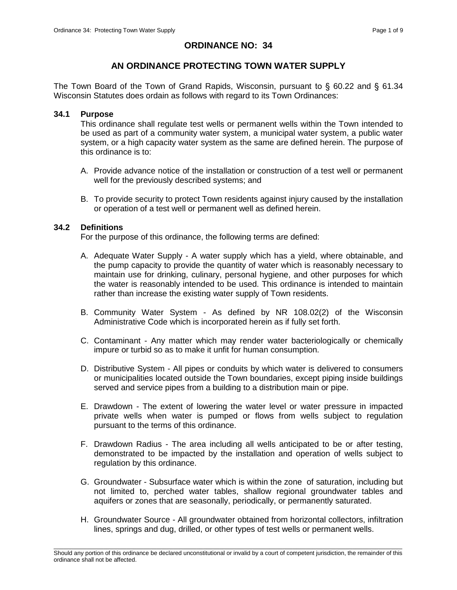# **ORDINANCE NO: 34**

# **AN ORDINANCE PROTECTING TOWN WATER SUPPLY**

The Town Board of the Town of Grand Rapids, Wisconsin, pursuant to § 60.22 and § 61.34 Wisconsin Statutes does ordain as follows with regard to its Town Ordinances:

## **34.1 Purpose**

This ordinance shall regulate test wells or permanent wells within the Town intended to be used as part of a community water system, a municipal water system, a public water system, or a high capacity water system as the same are defined herein. The purpose of this ordinance is to:

- A. Provide advance notice of the installation or construction of a test well or permanent well for the previously described systems; and
- B. To provide security to protect Town residents against injury caused by the installation or operation of a test well or permanent well as defined herein.

## **34.2 Definitions**

For the purpose of this ordinance, the following terms are defined:

- A. Adequate Water Supply A water supply which has a yield, where obtainable, and the pump capacity to provide the quantity of water which is reasonably necessary to maintain use for drinking, culinary, personal hygiene, and other purposes for which the water is reasonably intended to be used. This ordinance is intended to maintain rather than increase the existing water supply of Town residents.
- B. Community Water System As defined by NR 108.02(2) of the Wisconsin Administrative Code which is incorporated herein as if fully set forth.
- C. Contaminant Any matter which may render water bacteriologically or chemically impure or turbid so as to make it unfit for human consumption.
- D. Distributive System All pipes or conduits by which water is delivered to consumers or municipalities located outside the Town boundaries, except piping inside buildings served and service pipes from a building to a distribution main or pipe.
- E. Drawdown The extent of lowering the water level or water pressure in impacted private wells when water is pumped or flows from wells subject to regulation pursuant to the terms of this ordinance.
- F. Drawdown Radius The area including all wells anticipated to be or after testing, demonstrated to be impacted by the installation and operation of wells subject to regulation by this ordinance.
- G. Groundwater Subsurface water which is within the zone of saturation, including but not limited to, perched water tables, shallow regional groundwater tables and aquifers or zones that are seasonally, periodically, or permanently saturated.
- H. Groundwater Source All groundwater obtained from horizontal collectors, infiltration lines, springs and dug, drilled, or other types of test wells or permanent wells.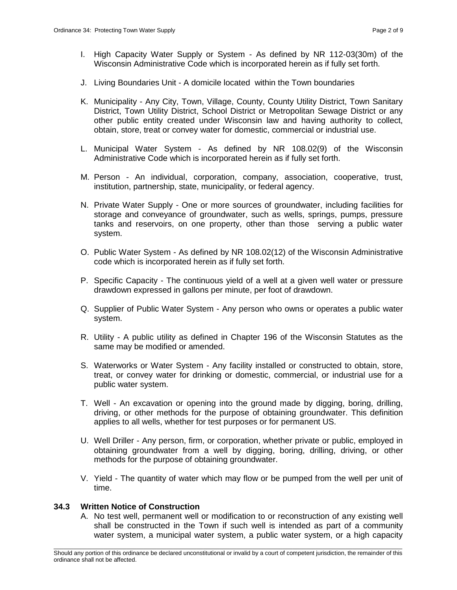- I. High Capacity Water Supply or System As defined by NR 112-03(30m) of the Wisconsin Administrative Code which is incorporated herein as if fully set forth.
- J. Living Boundaries Unit A domicile located within the Town boundaries
- K. Municipality Any City, Town, Village, County, County Utility District, Town Sanitary District, Town Utility District, School District or Metropolitan Sewage District or any other public entity created under Wisconsin law and having authority to collect, obtain, store, treat or convey water for domestic, commercial or industrial use.
- L. Municipal Water System As defined by NR 108.02(9) of the Wisconsin Administrative Code which is incorporated herein as if fully set forth.
- M. Person An individual, corporation, company, association, cooperative, trust, institution, partnership, state, municipality, or federal agency.
- N. Private Water Supply One or more sources of groundwater, including facilities for storage and conveyance of groundwater, such as wells, springs, pumps, pressure tanks and reservoirs, on one property, other than those serving a public water system.
- O. Public Water System As defined by NR 108.02(12) of the Wisconsin Administrative code which is incorporated herein as if fully set forth.
- P. Specific Capacity The continuous yield of a well at a given well water or pressure drawdown expressed in gallons per minute, per foot of drawdown.
- Q. Supplier of Public Water System Any person who owns or operates a public water system.
- R. Utility A public utility as defined in Chapter 196 of the Wisconsin Statutes as the same may be modified or amended.
- S. Waterworks or Water System Any facility installed or constructed to obtain, store, treat, or convey water for drinking or domestic, commercial, or industrial use for a public water system.
- T. Well An excavation or opening into the ground made by digging, boring, drilling, driving, or other methods for the purpose of obtaining groundwater. This definition applies to all wells, whether for test purposes or for permanent US.
- U. Well Driller Any person, firm, or corporation, whether private or public, employed in obtaining groundwater from a well by digging, boring, drilling, driving, or other methods for the purpose of obtaining groundwater.
- V. Yield The quantity of water which may flow or be pumped from the well per unit of time.

#### **34.3 Written Notice of Construction**

A. No test well, permanent well or modification to or reconstruction of any existing well shall be constructed in the Town if such well is intended as part of a community water system, a municipal water system, a public water system, or a high capacity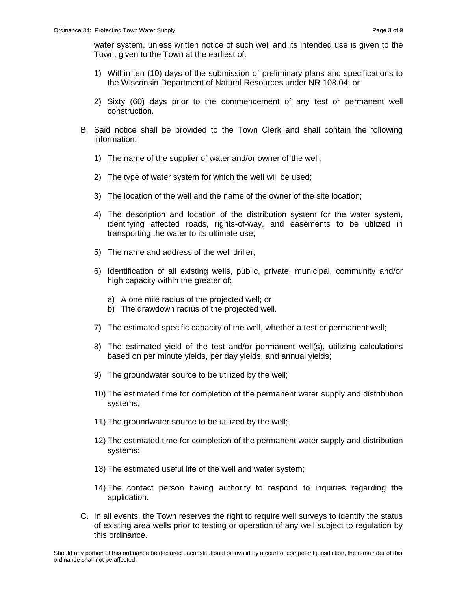water system, unless written notice of such well and its intended use is given to the Town, given to the Town at the earliest of:

- 1) Within ten (10) days of the submission of preliminary plans and specifications to the Wisconsin Department of Natural Resources under NR 108.04; or
- 2) Sixty (60) days prior to the commencement of any test or permanent well construction.
- B. Said notice shall be provided to the Town Clerk and shall contain the following information:
	- 1) The name of the supplier of water and/or owner of the well;
	- 2) The type of water system for which the well will be used;
	- 3) The location of the well and the name of the owner of the site location;
	- 4) The description and location of the distribution system for the water system, identifying affected roads, rights-of-way, and easements to be utilized in transporting the water to its ultimate use;
	- 5) The name and address of the well driller;
	- 6) Identification of all existing wells, public, private, municipal, community and/or high capacity within the greater of;
		- a) A one mile radius of the projected well; or
		- b) The drawdown radius of the projected well.
	- 7) The estimated specific capacity of the well, whether a test or permanent well;
	- 8) The estimated yield of the test and/or permanent well(s), utilizing calculations based on per minute yields, per day yields, and annual yields;
	- 9) The groundwater source to be utilized by the well;
	- 10) The estimated time for completion of the permanent water supply and distribution systems;
	- 11) The groundwater source to be utilized by the well;
	- 12) The estimated time for completion of the permanent water supply and distribution systems;
	- 13) The estimated useful life of the well and water system;
	- 14) The contact person having authority to respond to inquiries regarding the application.
- C. In all events, the Town reserves the right to require well surveys to identify the status of existing area wells prior to testing or operation of any well subject to regulation by this ordinance.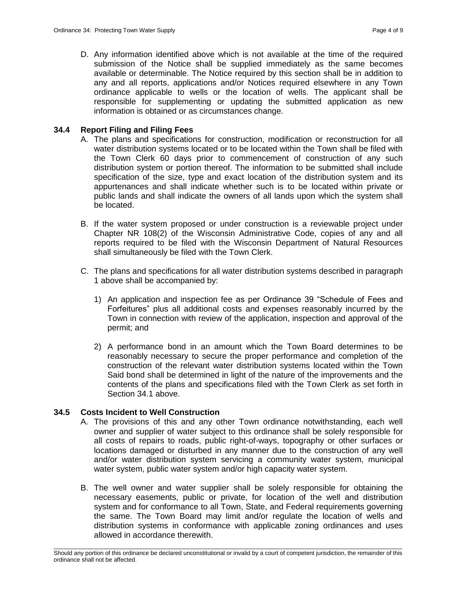D. Any information identified above which is not available at the time of the required submission of the Notice shall be supplied immediately as the same becomes available or determinable. The Notice required by this section shall be in addition to any and all reports, applications and/or Notices required elsewhere in any Town ordinance applicable to wells or the location of wells. The applicant shall be responsible for supplementing or updating the submitted application as new information is obtained or as circumstances change.

## **34.4 Report Filing and Filing Fees**

- A. The plans and specifications for construction, modification or reconstruction for all water distribution systems located or to be located within the Town shall be filed with the Town Clerk 60 days prior to commencement of construction of any such distribution system or portion thereof. The information to be submitted shall include specification of the size, type and exact location of the distribution system and its appurtenances and shall indicate whether such is to be located within private or public lands and shall indicate the owners of all lands upon which the system shall be located.
- B. If the water system proposed or under construction is a reviewable project under Chapter NR 108(2) of the Wisconsin Administrative Code, copies of any and all reports required to be filed with the Wisconsin Department of Natural Resources shall simultaneously be filed with the Town Clerk.
- C. The plans and specifications for all water distribution systems described in paragraph 1 above shall be accompanied by:
	- 1) An application and inspection fee as per Ordinance 39 "Schedule of Fees and Forfeitures" plus all additional costs and expenses reasonably incurred by the Town in connection with review of the application, inspection and approval of the permit; and
	- 2) A performance bond in an amount which the Town Board determines to be reasonably necessary to secure the proper performance and completion of the construction of the relevant water distribution systems located within the Town Said bond shall be determined in light of the nature of the improvements and the contents of the plans and specifications filed with the Town Clerk as set forth in Section 34.1 above.

## **34.5 Costs Incident to Well Construction**

- A. The provisions of this and any other Town ordinance notwithstanding, each well owner and supplier of water subject to this ordinance shall be solely responsible for all costs of repairs to roads, public right-of-ways, topography or other surfaces or locations damaged or disturbed in any manner due to the construction of any well and/or water distribution system servicing a community water system, municipal water system, public water system and/or high capacity water system.
- B. The well owner and water supplier shall be solely responsible for obtaining the necessary easements, public or private, for location of the well and distribution system and for conformance to all Town, State, and Federal requirements governing the same. The Town Board may limit and/or regulate the location of wells and distribution systems in conformance with applicable zoning ordinances and uses allowed in accordance therewith.

\_\_\_\_\_\_\_\_\_\_\_\_\_\_\_\_\_\_\_\_\_\_\_\_\_\_\_\_\_\_\_\_\_\_\_\_\_\_\_\_\_\_\_\_\_\_\_\_\_\_\_\_\_\_\_\_\_\_\_\_\_\_\_\_\_\_\_\_\_\_\_\_\_\_\_\_\_\_\_\_\_\_\_\_\_\_\_\_\_\_\_\_\_\_\_\_\_\_\_\_\_\_\_\_\_ Should any portion of this ordinance be declared unconstitutional or invalid by a court of competent jurisdiction, the remainder of this ordinance shall not be affected.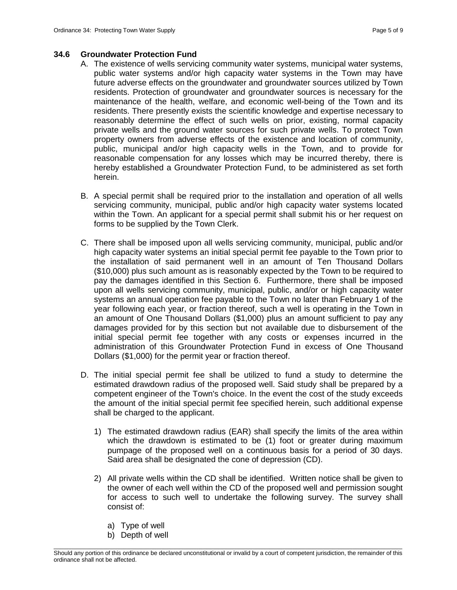## **34.6 Groundwater Protection Fund**

- A. The existence of wells servicing community water systems, municipal water systems, public water systems and/or high capacity water systems in the Town may have future adverse effects on the groundwater and groundwater sources utilized by Town residents. Protection of groundwater and groundwater sources is necessary for the maintenance of the health, welfare, and economic well-being of the Town and its residents. There presently exists the scientific knowledge and expertise necessary to reasonably determine the effect of such wells on prior, existing, normal capacity private wells and the ground water sources for such private wells. To protect Town property owners from adverse effects of the existence and location of community, public, municipal and/or high capacity wells in the Town, and to provide for reasonable compensation for any losses which may be incurred thereby, there is hereby established a Groundwater Protection Fund, to be administered as set forth herein.
- B. A special permit shall be required prior to the installation and operation of all wells servicing community, municipal, public and/or high capacity water systems located within the Town. An applicant for a special permit shall submit his or her request on forms to be supplied by the Town Clerk.
- C. There shall be imposed upon all wells servicing community, municipal, public and/or high capacity water systems an initial special permit fee payable to the Town prior to the installation of said permanent well in an amount of Ten Thousand Dollars (\$10,000) plus such amount as is reasonably expected by the Town to be required to pay the damages identified in this Section 6. Furthermore, there shall be imposed upon all wells servicing community, municipal, public, and/or or high capacity water systems an annual operation fee payable to the Town no later than February 1 of the year following each year, or fraction thereof, such a well is operating in the Town in an amount of One Thousand Dollars (\$1,000) plus an amount sufficient to pay any damages provided for by this section but not available due to disbursement of the initial special permit fee together with any costs or expenses incurred in the administration of this Groundwater Protection Fund in excess of One Thousand Dollars (\$1,000) for the permit year or fraction thereof.
- D. The initial special permit fee shall be utilized to fund a study to determine the estimated drawdown radius of the proposed well. Said study shall be prepared by a competent engineer of the Town's choice. In the event the cost of the study exceeds the amount of the initial special permit fee specified herein, such additional expense shall be charged to the applicant.
	- 1) The estimated drawdown radius (EAR) shall specify the limits of the area within which the drawdown is estimated to be (1) foot or greater during maximum pumpage of the proposed well on a continuous basis for a period of 30 days. Said area shall be designated the cone of depression (CD).
	- 2) All private wells within the CD shall be identified. Written notice shall be given to the owner of each well within the CD of the proposed well and permission sought for access to such well to undertake the following survey. The survey shall consist of:
		- a) Type of well
		- b) Depth of well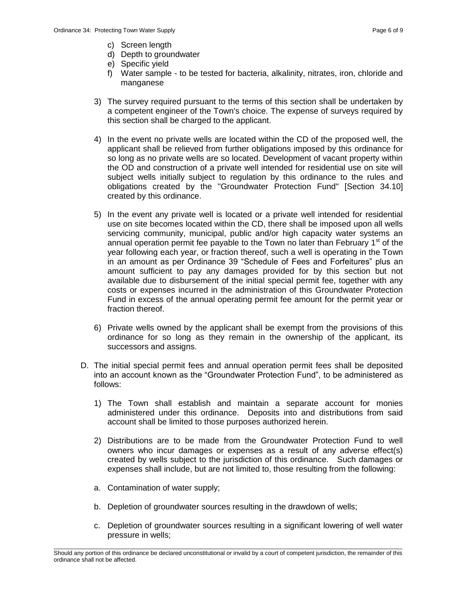- c) Screen length
- d) Depth to groundwater
- e) Specific yield
- f) Water sample to be tested for bacteria, alkalinity, nitrates, iron, chloride and manganese
- 3) The survey required pursuant to the terms of this section shall be undertaken by a competent engineer of the Town's choice. The expense of surveys required by this section shall be charged to the applicant.
- 4) In the event no private wells are located within the CD of the proposed well, the applicant shall be relieved from further obligations imposed by this ordinance for so long as no private wells are so located. Development of vacant property within the OD and construction of a private well intended for residential use on site will subject wells initially subject to regulation by this ordinance to the rules and obligations created by the "Groundwater Protection Fund" [Section 34.10] created by this ordinance.
- 5) In the event any private well is located or a private well intended for residential use on site becomes located within the CD, there shall be imposed upon all wells servicing community, municipal, public and/or high capacity water systems an annual operation permit fee payable to the Town no later than February 1<sup>st</sup> of the year following each year, or fraction thereof, such a well is operating in the Town in an amount as per Ordinance 39 "Schedule of Fees and Forfeitures" plus an amount sufficient to pay any damages provided for by this section but not available due to disbursement of the initial special permit fee, together with any costs or expenses incurred in the administration of this Groundwater Protection Fund in excess of the annual operating permit fee amount for the permit year or fraction thereof.
- 6) Private wells owned by the applicant shall be exempt from the provisions of this ordinance for so long as they remain in the ownership of the applicant, its successors and assigns.
- D. The initial special permit fees and annual operation permit fees shall be deposited into an account known as the "Groundwater Protection Fund", to be administered as follows:
	- 1) The Town shall establish and maintain a separate account for monies administered under this ordinance. Deposits into and distributions from said account shall be limited to those purposes authorized herein.
	- 2) Distributions are to be made from the Groundwater Protection Fund to well owners who incur damages or expenses as a result of any adverse effect(s) created by wells subject to the jurisdiction of this ordinance. Such damages or expenses shall include, but are not limited to, those resulting from the following:
	- a. Contamination of water supply;
	- b. Depletion of groundwater sources resulting in the drawdown of wells;
	- c. Depletion of groundwater sources resulting in a significant lowering of well water pressure in wells;

\_\_\_\_\_\_\_\_\_\_\_\_\_\_\_\_\_\_\_\_\_\_\_\_\_\_\_\_\_\_\_\_\_\_\_\_\_\_\_\_\_\_\_\_\_\_\_\_\_\_\_\_\_\_\_\_\_\_\_\_\_\_\_\_\_\_\_\_\_\_\_\_\_\_\_\_\_\_\_\_\_\_\_\_\_\_\_\_\_\_\_\_\_\_\_\_\_\_\_\_\_\_\_\_\_ Should any portion of this ordinance be declared unconstitutional or invalid by a court of competent jurisdiction, the remainder of this ordinance shall not be affected.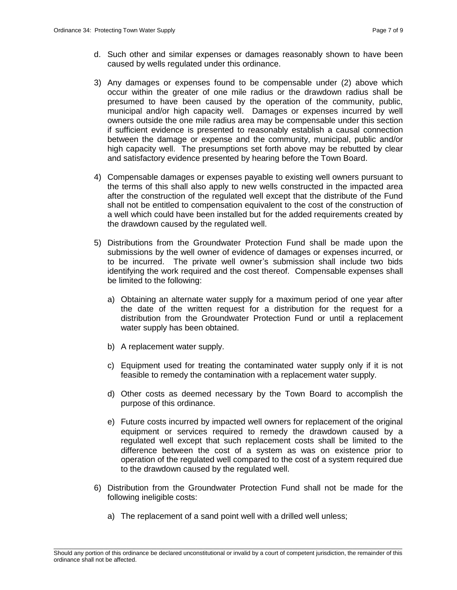- d. Such other and similar expenses or damages reasonably shown to have been caused by wells regulated under this ordinance.
- 3) Any damages or expenses found to be compensable under (2) above which occur within the greater of one mile radius or the drawdown radius shall be presumed to have been caused by the operation of the community, public, municipal and/or high capacity well. Damages or expenses incurred by well owners outside the one mile radius area may be compensable under this section if sufficient evidence is presented to reasonably establish a causal connection between the damage or expense and the community, municipal, public and/or high capacity well. The presumptions set forth above may be rebutted by clear and satisfactory evidence presented by hearing before the Town Board.
- 4) Compensable damages or expenses payable to existing well owners pursuant to the terms of this shall also apply to new wells constructed in the impacted area after the construction of the regulated well except that the distribute of the Fund shall not be entitled to compensation equivalent to the cost of the construction of a well which could have been installed but for the added requirements created by the drawdown caused by the regulated well.
- 5) Distributions from the Groundwater Protection Fund shall be made upon the submissions by the well owner of evidence of damages or expenses incurred, or to be incurred. The private well owner's submission shall include two bids identifying the work required and the cost thereof. Compensable expenses shall be limited to the following:
	- a) Obtaining an alternate water supply for a maximum period of one year after the date of the written request for a distribution for the request for a distribution from the Groundwater Protection Fund or until a replacement water supply has been obtained.
	- b) A replacement water supply.
	- c) Equipment used for treating the contaminated water supply only if it is not feasible to remedy the contamination with a replacement water supply.
	- d) Other costs as deemed necessary by the Town Board to accomplish the purpose of this ordinance.
	- e) Future costs incurred by impacted well owners for replacement of the original equipment or services required to remedy the drawdown caused by a regulated well except that such replacement costs shall be limited to the difference between the cost of a system as was on existence prior to operation of the regulated well compared to the cost of a system required due to the drawdown caused by the regulated well.
- 6) Distribution from the Groundwater Protection Fund shall not be made for the following ineligible costs:
	- a) The replacement of a sand point well with a drilled well unless;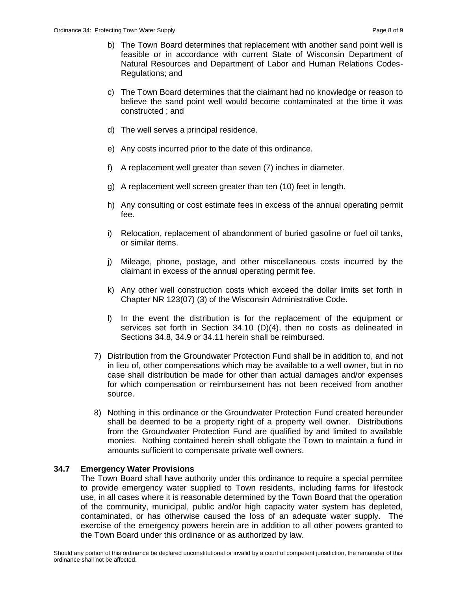- b) The Town Board determines that replacement with another sand point well is feasible or in accordance with current State of Wisconsin Department of Natural Resources and Department of Labor and Human Relations Codes-Regulations; and
- c) The Town Board determines that the claimant had no knowledge or reason to believe the sand point well would become contaminated at the time it was constructed ; and
- d) The well serves a principal residence.
- e) Any costs incurred prior to the date of this ordinance.
- f) A replacement well greater than seven (7) inches in diameter.
- g) A replacement well screen greater than ten (10) feet in length.
- h) Any consulting or cost estimate fees in excess of the annual operating permit fee.
- i) Relocation, replacement of abandonment of buried gasoline or fuel oil tanks, or similar items.
- j) Mileage, phone, postage, and other miscellaneous costs incurred by the claimant in excess of the annual operating permit fee.
- k) Any other well construction costs which exceed the dollar limits set forth in Chapter NR 123(07) (3) of the Wisconsin Administrative Code.
- l) In the event the distribution is for the replacement of the equipment or services set forth in Section 34.10 (D)(4), then no costs as delineated in Sections 34.8, 34.9 or 34.11 herein shall be reimbursed.
- 7) Distribution from the Groundwater Protection Fund shall be in addition to, and not in lieu of, other compensations which may be available to a well owner, but in no case shall distribution be made for other than actual damages and/or expenses for which compensation or reimbursement has not been received from another source.
- 8) Nothing in this ordinance or the Groundwater Protection Fund created hereunder shall be deemed to be a property right of a property well owner. Distributions from the Groundwater Protection Fund are qualified by and limited to available monies. Nothing contained herein shall obligate the Town to maintain a fund in amounts sufficient to compensate private well owners.

## **34.7 Emergency Water Provisions**

The Town Board shall have authority under this ordinance to require a special permitee to provide emergency water supplied to Town residents, including farms for lifestock use, in all cases where it is reasonable determined by the Town Board that the operation of the community, municipal, public and/or high capacity water system has depleted, contaminated, or has otherwise caused the loss of an adequate water supply. The exercise of the emergency powers herein are in addition to all other powers granted to the Town Board under this ordinance or as authorized by law.